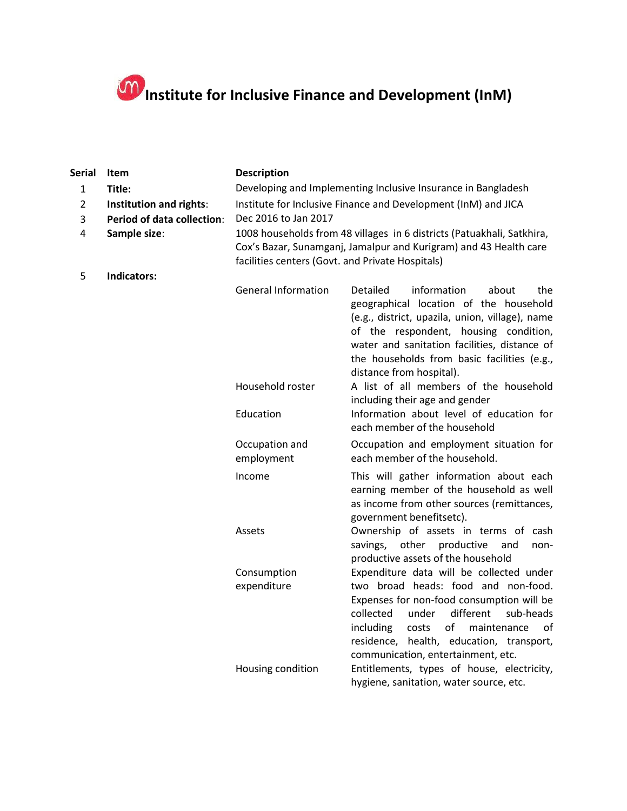## **Institute for Inclusive Finance and Development (InM)**

| <b>Serial</b>  | Item                                                                   | <b>Description</b>                                                     |                                                                                                                                                                                                                                                                     |  |
|----------------|------------------------------------------------------------------------|------------------------------------------------------------------------|---------------------------------------------------------------------------------------------------------------------------------------------------------------------------------------------------------------------------------------------------------------------|--|
| 1              | Title:                                                                 | Developing and Implementing Inclusive Insurance in Bangladesh          |                                                                                                                                                                                                                                                                     |  |
| $\overline{2}$ | Institution and rights:                                                | Institute for Inclusive Finance and Development (InM) and JICA         |                                                                                                                                                                                                                                                                     |  |
| 3              | <b>Period of data collection:</b>                                      | Dec 2016 to Jan 2017                                                   |                                                                                                                                                                                                                                                                     |  |
| 4              | Sample size:                                                           | 1008 households from 48 villages in 6 districts (Patuakhali, Satkhira, |                                                                                                                                                                                                                                                                     |  |
|                |                                                                        |                                                                        | Cox's Bazar, Sunamganj, Jamalpur and Kurigram) and 43 Health care                                                                                                                                                                                                   |  |
| 5              | facilities centers (Govt. and Private Hospitals)<br><b>Indicators:</b> |                                                                        |                                                                                                                                                                                                                                                                     |  |
|                |                                                                        | <b>General Information</b>                                             | Detailed<br>information<br>about<br>the<br>geographical location of the household<br>(e.g., district, upazila, union, village), name<br>of the respondent, housing condition,<br>water and sanitation facilities, distance of                                       |  |
|                |                                                                        | Household roster                                                       | the households from basic facilities (e.g.,<br>distance from hospital).<br>A list of all members of the household<br>including their age and gender                                                                                                                 |  |
|                |                                                                        | Education                                                              | Information about level of education for<br>each member of the household                                                                                                                                                                                            |  |
|                |                                                                        | Occupation and<br>employment                                           | Occupation and employment situation for<br>each member of the household.                                                                                                                                                                                            |  |
|                |                                                                        | Income                                                                 | This will gather information about each<br>earning member of the household as well<br>as income from other sources (remittances,<br>government benefitsetc).                                                                                                        |  |
|                |                                                                        | Assets                                                                 | Ownership of assets in terms of cash<br>productive<br>savings,<br>other<br>and<br>non-<br>productive assets of the household                                                                                                                                        |  |
|                |                                                                        | Consumption                                                            | Expenditure data will be collected under                                                                                                                                                                                                                            |  |
|                |                                                                        | expenditure                                                            | two broad heads: food and non-food.<br>Expenses for non-food consumption will be<br>different<br>collected<br>under<br>sub-heads<br>including<br>of<br>maintenance<br>costs<br>of<br>residence, health, education, transport,<br>communication, entertainment, etc. |  |
|                |                                                                        | Housing condition                                                      | Entitlements, types of house, electricity,<br>hygiene, sanitation, water source, etc.                                                                                                                                                                               |  |